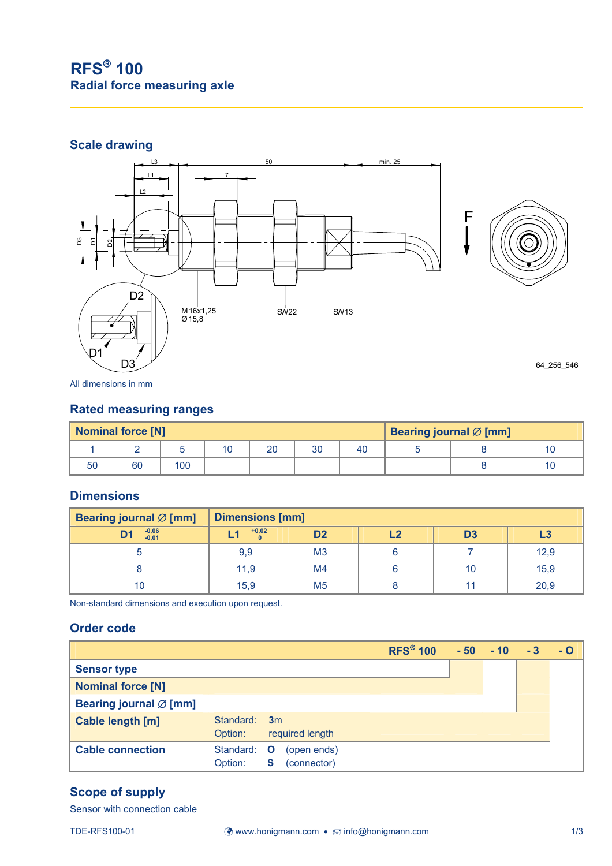# **RFS**®  **100 Radial force measuring axle**

### **Scale drawing**



All dimensions in mm

#### **Rated measuring ranges**

| <b>Nominal force [N]</b> |    |     |  |    |    | Bearing journal $\varnothing$ [mm] |  |  |    |
|--------------------------|----|-----|--|----|----|------------------------------------|--|--|----|
|                          |    |     |  | 20 | 30 | 40                                 |  |  | 10 |
| 50                       | 60 | 100 |  |    |    |                                    |  |  | 10 |

#### **Dimensions**

| Bearing journal $\varnothing$ [mm] | <b>Dimensions [mm]</b> |                |            |                |      |  |  |
|------------------------------------|------------------------|----------------|------------|----------------|------|--|--|
| $-0,06$<br>$-0,01$<br><b>D1</b>    | $+0,02$                | D <sub>2</sub> | <b>C</b> I | D <sub>3</sub> | L3   |  |  |
|                                    | 9,9                    | M <sub>3</sub> |            |                | 12,9 |  |  |
|                                    | 11,9                   | M <sub>4</sub> |            | 10             | 15,9 |  |  |
| 10                                 | 15,9                   | M <sub>5</sub> |            |                | 20,9 |  |  |

Non-standard dimensions and execution upon request.

#### **Order code**

|                                    |                      |                                                 | <b>RFS<sup>®</sup> 100</b> | $-50$ | $-10$ | $-3$ | - O |
|------------------------------------|----------------------|-------------------------------------------------|----------------------------|-------|-------|------|-----|
| <b>Sensor type</b>                 |                      |                                                 |                            |       |       |      |     |
| <b>Nominal force [N]</b>           |                      |                                                 |                            |       |       |      |     |
| Bearing journal $\varnothing$ [mm] |                      |                                                 |                            |       |       |      |     |
| Cable length [m]                   | Standard:<br>Option: | 3m<br>required length                           |                            |       |       |      |     |
| <b>Cable connection</b>            | Standard:<br>Option: | (open ends)<br>$\mathbf{O}$<br>(connector)<br>S |                            |       |       |      |     |

#### **Scope of supply**

Sensor with connection cable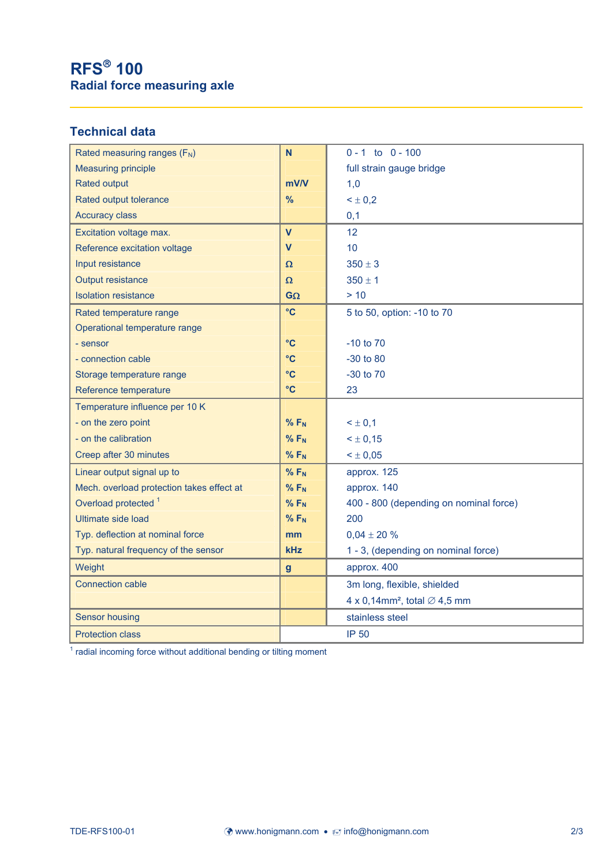# **RFS**®  **100 Radial force measuring axle**

### **Technical data**

| Rated measuring ranges (F <sub>N</sub> )  | N                       | $0 - 1$ to $0 - 100$                                 |  |  |
|-------------------------------------------|-------------------------|------------------------------------------------------|--|--|
| <b>Measuring principle</b>                |                         | full strain gauge bridge                             |  |  |
| <b>Rated output</b>                       | mV/V                    | 1,0                                                  |  |  |
| Rated output tolerance                    | %                       | $< \pm 0.2$                                          |  |  |
| <b>Accuracy class</b>                     |                         | 0,1                                                  |  |  |
| Excitation voltage max.                   | $\overline{\mathsf{V}}$ | 12                                                   |  |  |
| Reference excitation voltage              | $\overline{\mathsf{v}}$ | 10                                                   |  |  |
| Input resistance                          | Ω                       | $350 \pm 3$                                          |  |  |
| Output resistance                         | $\pmb{\Omega}$          | $350 \pm 1$                                          |  |  |
| <b>Isolation resistance</b>               | $G\Omega$               | > 10                                                 |  |  |
| Rated temperature range                   | $\rm ^{\circ}C$         | 5 to 50, option: -10 to 70                           |  |  |
| Operational temperature range             |                         |                                                      |  |  |
| - sensor                                  | $\rm ^{\circ}C$         | $-10$ to $70$                                        |  |  |
| - connection cable                        | $\rm ^{\circ}C$         | $-30$ to 80                                          |  |  |
| Storage temperature range                 | $\rm ^{\circ}C$         | -30 to 70                                            |  |  |
| Reference temperature                     | $\rm ^{\circ}C$         | 23                                                   |  |  |
| Temperature influence per 10 K            |                         |                                                      |  |  |
| - on the zero point                       | $%$ F <sub>N</sub>      | $3 \pm 0,1$                                          |  |  |
| - on the calibration                      | $%F_N$                  | $< \pm 0.15$                                         |  |  |
| Creep after 30 minutes                    | $%F_N$                  | $< \pm 0.05$                                         |  |  |
| Linear output signal up to                | $%F_N$                  | approx. 125                                          |  |  |
| Mech. overload protection takes effect at | $%F_N$                  | approx. 140                                          |  |  |
| Overload protected <sup>1</sup>           | $%F_N$                  | 400 - 800 (depending on nominal force)               |  |  |
| <b>Ultimate side load</b>                 | $%F_N$                  | 200                                                  |  |  |
| Typ. deflection at nominal force          | mm                      | $0,04 \pm 20 %$                                      |  |  |
| Typ. natural frequency of the sensor      | <b>kHz</b>              | 1 - 3, (depending on nominal force)                  |  |  |
| Weight                                    | $\mathbf{g}$            | approx. 400                                          |  |  |
| <b>Connection cable</b>                   |                         | 3m long, flexible, shielded                          |  |  |
|                                           |                         | 4 x 0,14mm <sup>2</sup> , total $\varnothing$ 4,5 mm |  |  |
| <b>Sensor housing</b>                     |                         | stainless steel                                      |  |  |
| <b>Protection class</b>                   |                         | <b>IP 50</b>                                         |  |  |
|                                           |                         |                                                      |  |  |

<sup>1</sup> radial incoming force without additional bending or tilting moment